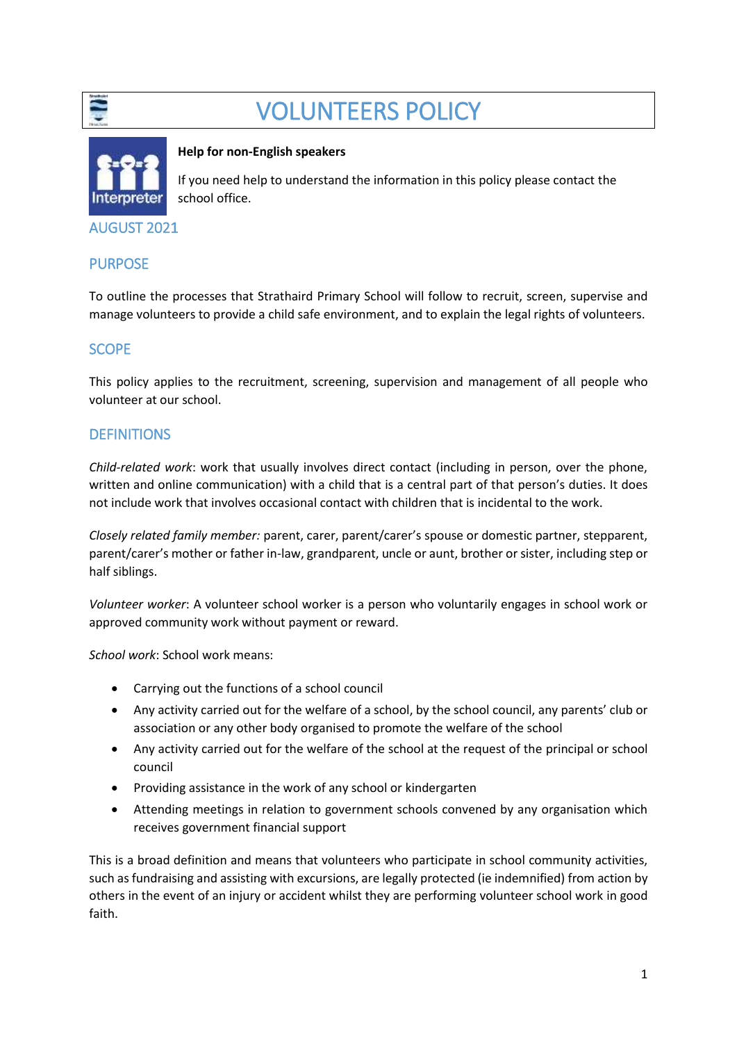

# VOLUNTEERS POLICY



#### **Help for non-English speakers**

If you need help to understand the information in this policy please contact the school office.

AUGUST 2021

#### **PURPOSE**

To outline the processes that Strathaird Primary School will follow to recruit, screen, supervise and manage volunteers to provide a child safe environment, and to explain the legal rights of volunteers.

#### **SCOPE**

This policy applies to the recruitment, screening, supervision and management of all people who volunteer at our school.

#### **DEFINITIONS**

*Child-related work*: work that usually involves direct contact (including in person, over the phone, written and online communication) with a child that is a central part of that person's duties. It does not include work that involves occasional contact with children that is incidental to the work.

*Closely related family member:* parent, carer, parent/carer's spouse or domestic partner, stepparent, parent/carer's mother or father in-law, grandparent, uncle or aunt, brother or sister, including step or half siblings.

*Volunteer worker*: A volunteer school worker is a person who voluntarily engages in school work or approved community work without payment or reward.

*School work*: School work means:

- Carrying out the functions of a school council
- Any activity carried out for the welfare of a school, by the school council, any parents' club or association or any other body organised to promote the welfare of the school
- Any activity carried out for the welfare of the school at the request of the principal or school council
- Providing assistance in the work of any school or kindergarten
- Attending meetings in relation to government schools convened by any organisation which receives government financial support

This is a broad definition and means that volunteers who participate in school community activities, such as fundraising and assisting with excursions, are legally protected (ie indemnified) from action by others in the event of an injury or accident whilst they are performing volunteer school work in good faith.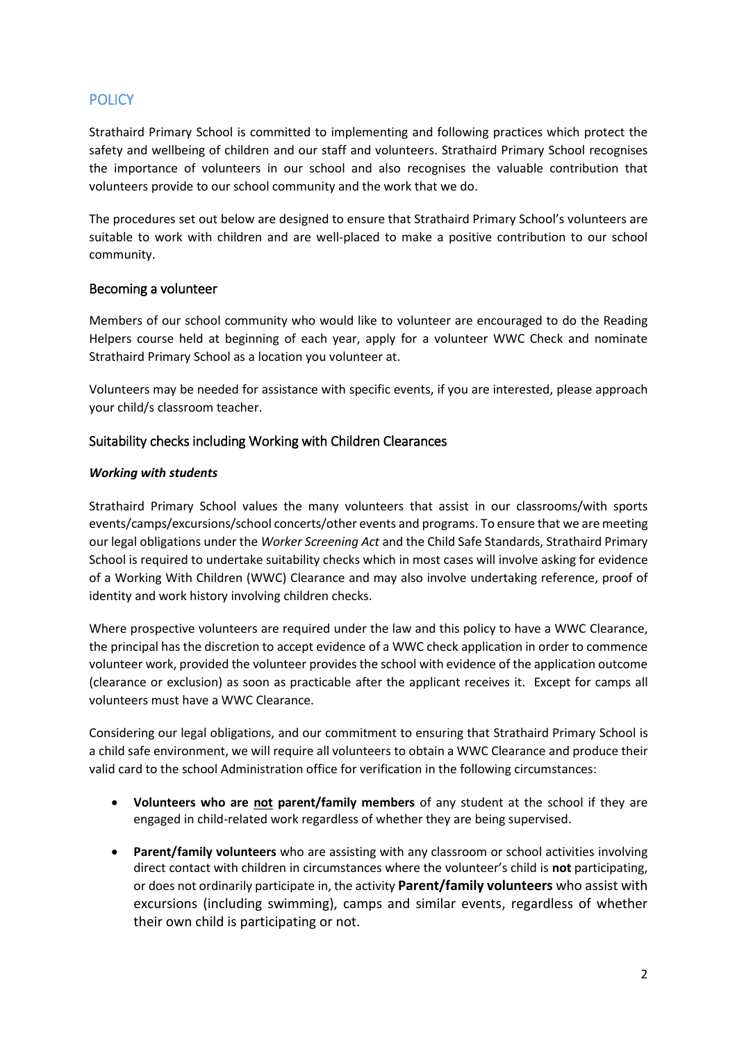#### **POLICY**

Strathaird Primary School is committed to implementing and following practices which protect the safety and wellbeing of children and our staff and volunteers. Strathaird Primary School recognises the importance of volunteers in our school and also recognises the valuable contribution that volunteers provide to our school community and the work that we do.

The procedures set out below are designed to ensure that Strathaird Primary School's volunteers are suitable to work with children and are well-placed to make a positive contribution to our school community.

#### Becoming a volunteer

Members of our school community who would like to volunteer are encouraged to do the Reading Helpers course held at beginning of each year, apply for a volunteer WWC Check and nominate Strathaird Primary School as a location you volunteer at.

Volunteers may be needed for assistance with specific events, if you are interested, please approach your child/s classroom teacher.

#### Suitability checks including Working with Children Clearances

#### *Working with students*

Strathaird Primary School values the many volunteers that assist in our classrooms/with sports events/camps/excursions/school concerts/other events and programs. To ensure that we are meeting our legal obligations under the *Worker Screening Act* and the Child Safe Standards, Strathaird Primary School is required to undertake suitability checks which in most cases will involve asking for evidence of a Working With Children (WWC) Clearance and may also involve undertaking reference, proof of identity and work history involving children checks.

Where prospective volunteers are required under the law and this policy to have a WWC Clearance, the principal has the discretion to accept evidence of a WWC check application in order to commence volunteer work, provided the volunteer provides the school with evidence of the application outcome (clearance or exclusion) as soon as practicable after the applicant receives it. Except for camps all volunteers must have a WWC Clearance.

Considering our legal obligations, and our commitment to ensuring that Strathaird Primary School is a child safe environment, we will require all volunteers to obtain a WWC Clearance and produce their valid card to the school Administration office for verification in the following circumstances:

- **Volunteers who are not parent/family members** of any student at the school if they are engaged in child-related work regardless of whether they are being supervised.
- **Parent/family volunteers** who are assisting with any classroom or school activities involving direct contact with children in circumstances where the volunteer's child is **not** participating, or does not ordinarily participate in, the activity **Parent/family volunteers** who assist with excursions (including swimming), camps and similar events, regardless of whether their own child is participating or not.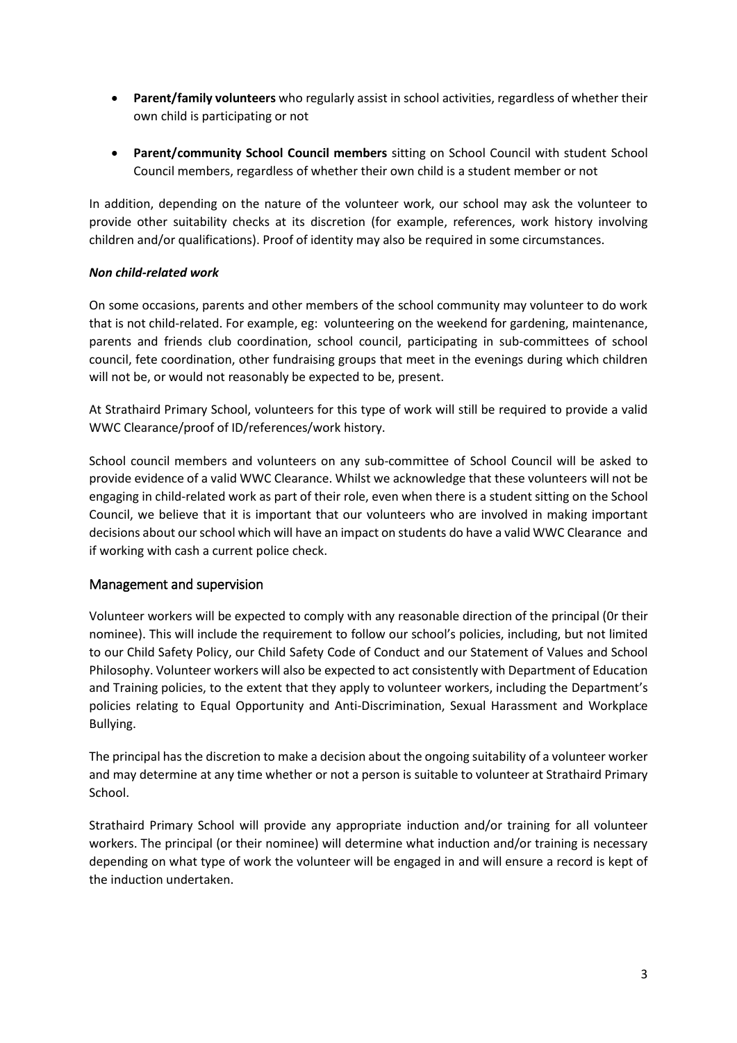- **Parent/family volunteers** who regularly assist in school activities, regardless of whether their own child is participating or not
- **Parent/community School Council members** sitting on School Council with student School Council members, regardless of whether their own child is a student member or not

In addition, depending on the nature of the volunteer work, our school may ask the volunteer to provide other suitability checks at its discretion (for example, references, work history involving children and/or qualifications). Proof of identity may also be required in some circumstances.

#### *Non child-related work*

On some occasions, parents and other members of the school community may volunteer to do work that is not child-related. For example, eg: volunteering on the weekend for gardening, maintenance, parents and friends club coordination, school council, participating in sub-committees of school council, fete coordination, other fundraising groups that meet in the evenings during which children will not be, or would not reasonably be expected to be, present.

At Strathaird Primary School, volunteers for this type of work will still be required to provide a valid WWC Clearance/proof of ID/references/work history.

School council members and volunteers on any sub-committee of School Council will be asked to provide evidence of a valid WWC Clearance. Whilst we acknowledge that these volunteers will not be engaging in child-related work as part of their role, even when there is a student sitting on the School Council, we believe that it is important that our volunteers who are involved in making important decisions about our school which will have an impact on students do have a valid WWC Clearance and if working with cash a current police check.

#### Management and supervision

Volunteer workers will be expected to comply with any reasonable direction of the principal (0r their nominee). This will include the requirement to follow our school's policies, including, but not limited to our Child Safety Policy, our Child Safety Code of Conduct and our Statement of Values and School Philosophy. Volunteer workers will also be expected to act consistently with Department of Education and Training policies, to the extent that they apply to volunteer workers, including the Department's policies relating to Equal Opportunity and Anti-Discrimination, Sexual Harassment and Workplace Bullying.

The principal has the discretion to make a decision about the ongoing suitability of a volunteer worker and may determine at any time whether or not a person is suitable to volunteer at Strathaird Primary School.

Strathaird Primary School will provide any appropriate induction and/or training for all volunteer workers. The principal (or their nominee) will determine what induction and/or training is necessary depending on what type of work the volunteer will be engaged in and will ensure a record is kept of the induction undertaken.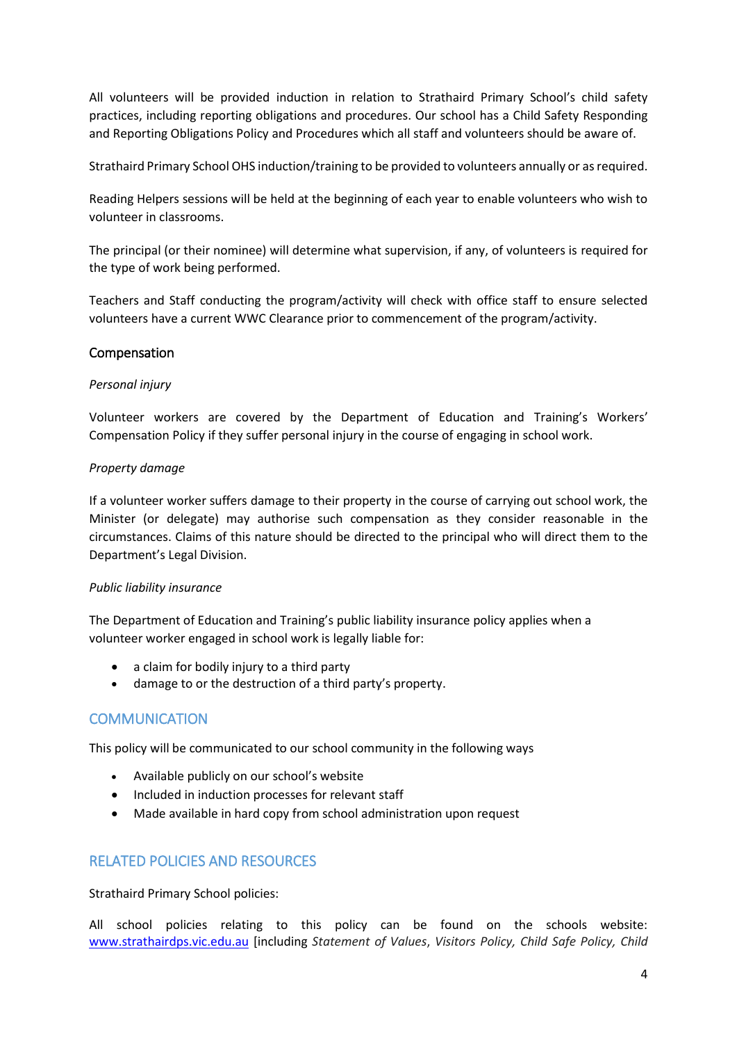All volunteers will be provided induction in relation to Strathaird Primary School's child safety practices, including reporting obligations and procedures. Our school has a Child Safety Responding and Reporting Obligations Policy and Procedures which all staff and volunteers should be aware of.

Strathaird Primary School OHS induction/training to be provided to volunteers annually or as required.

Reading Helpers sessions will be held at the beginning of each year to enable volunteers who wish to volunteer in classrooms.

The principal (or their nominee) will determine what supervision, if any, of volunteers is required for the type of work being performed.

Teachers and Staff conducting the program/activity will check with office staff to ensure selected volunteers have a current WWC Clearance prior to commencement of the program/activity.

#### Compensation

#### *Personal injury*

Volunteer workers are covered by the Department of Education and Training's Workers' Compensation Policy if they suffer personal injury in the course of engaging in school work.

#### *Property damage*

If a volunteer worker suffers damage to their property in the course of carrying out school work, the Minister (or delegate) may authorise such compensation as they consider reasonable in the circumstances. Claims of this nature should be directed to the principal who will direct them to the Department's Legal Division.

#### *Public liability insurance*

The Department of Education and Training's public liability insurance policy applies when a volunteer worker engaged in school work is legally liable for:

- a claim for bodily injury to a third party
- damage to or the destruction of a third party's property.

#### **COMMUNICATION**

This policy will be communicated to our school community in the following ways

- Available publicly on our school's website
- Included in induction processes for relevant staff
- Made available in hard copy from school administration upon request

#### RELATED POLICIES AND RESOURCES

Strathaird Primary School policies:

All school policies relating to this policy can be found on the schools website: [www.strathairdps.vic.edu.au](http://www.strathairdps.vic.edu.au/) [including *Statement of Values*, *Visitors Policy, Child Safe Policy, Child*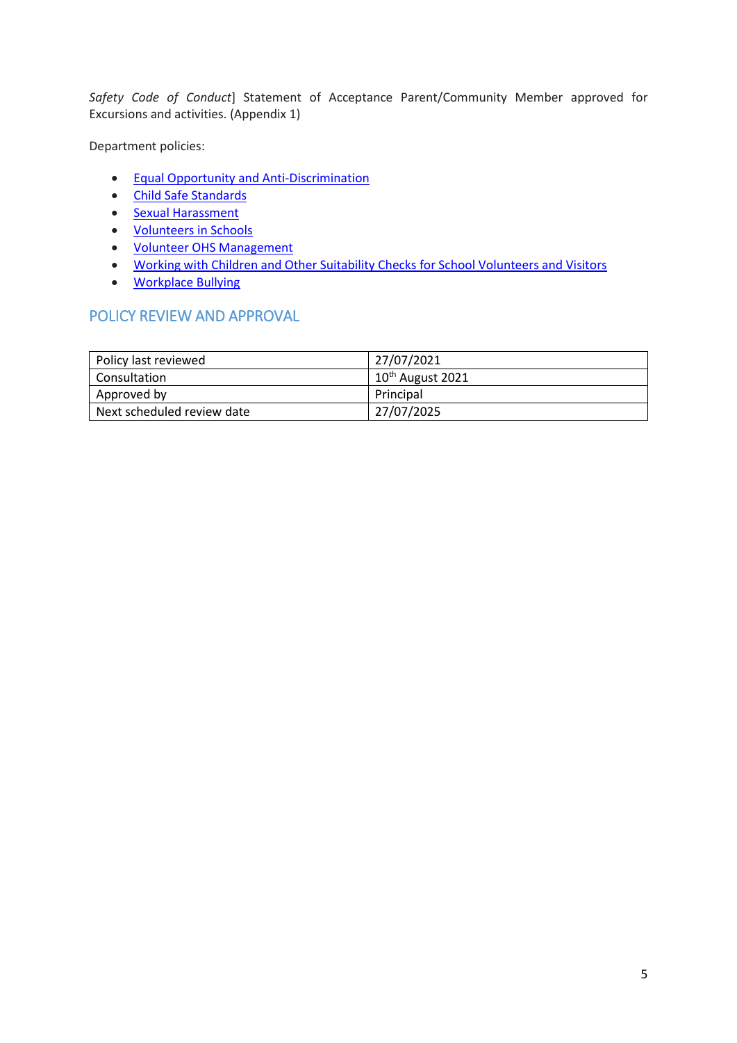*Safety Code of Conduct*] Statement of Acceptance Parent/Community Member approved for Excursions and activities. (Appendix 1)

Department policies:

- [Equal Opportunity and Anti-Discrimination](https://www2.education.vic.gov.au/pal/equal-opportunity/policy-and-guidelines)
- [Child Safe Standards](https://www2.education.vic.gov.au/pal/child-safe-standards/policy)
- [Sexual Harassment](https://www2.education.vic.gov.au/pal/sexual-harassment/policy-and-guidelines)
- [Volunteers in Schools](https://www2.education.vic.gov.au/pal/volunteers/policy)
- [Volunteer OHS Management](https://www2.education.vic.gov.au/pal/volunteer-ohs-management/policy)
- [Working with Children and Other Suitability Checks for School Volunteers and Visitors](https://www2.education.vic.gov.au/pal/suitability-checks/policy)
- [Workplace Bullying](https://www2.education.vic.gov.au/pal/workplace-bullying/policy)

#### POLICY REVIEW AND APPROVAL

| Policy last reviewed       | 27/07/2021                   |
|----------------------------|------------------------------|
| Consultation               | 10 <sup>th</sup> August 2021 |
| Approved by                | Principal                    |
| Next scheduled review date | 27/07/2025                   |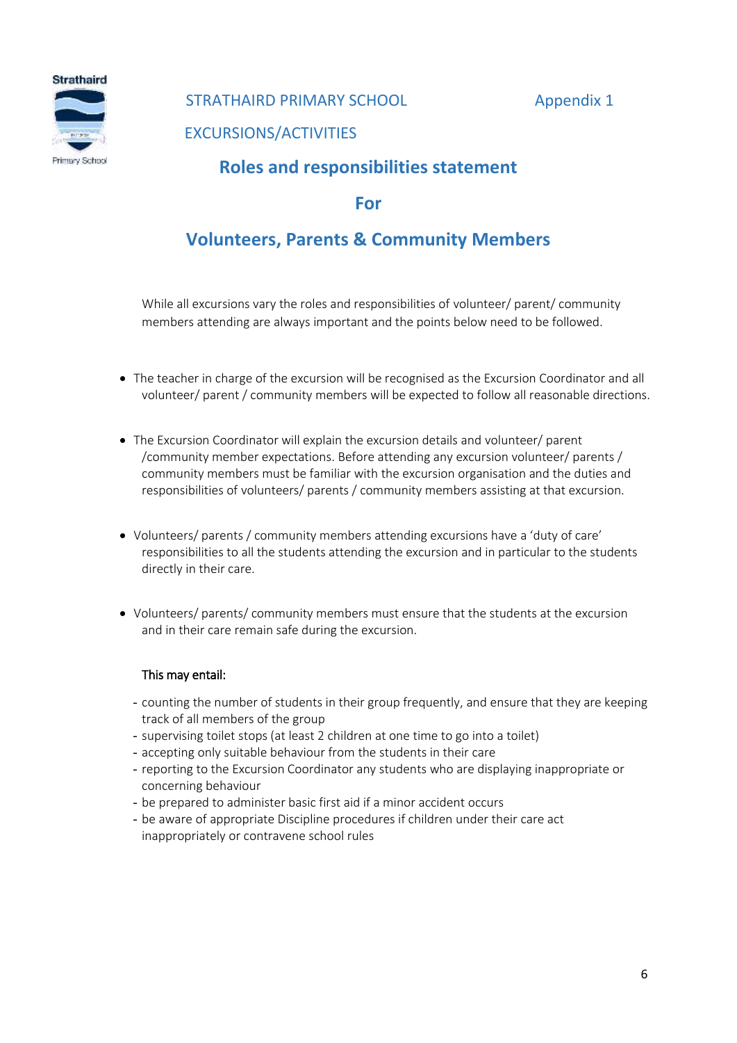**Strathaird** Primary School

#### STRATHAIRD PRIMARY SCHOOL Appendix 1

EXCURSIONS/ACTIVITIES

### **Roles and responsibilities statement**

#### **For**

### **Volunteers, Parents & Community Members**

While all excursions vary the roles and responsibilities of volunteer/ parent/ community members attending are always important and the points below need to be followed.

- The teacher in charge of the excursion will be recognised as the Excursion Coordinator and all volunteer/ parent / community members will be expected to follow all reasonable directions.
- The Excursion Coordinator will explain the excursion details and volunteer/ parent /community member expectations. Before attending any excursion volunteer/ parents / community members must be familiar with the excursion organisation and the duties and responsibilities of volunteers/ parents / community members assisting at that excursion.
- Volunteers/ parents / community members attending excursions have a 'duty of care' responsibilities to all the students attending the excursion and in particular to the students directly in their care.
- Volunteers/ parents/ community members must ensure that the students at the excursion and in their care remain safe during the excursion.

#### This may entail:

- counting the number of students in their group frequently, and ensure that they are keeping track of all members of the group
- supervising toilet stops (at least 2 children at one time to go into a toilet)
- accepting only suitable behaviour from the students in their care
- reporting to the Excursion Coordinator any students who are displaying inappropriate or concerning behaviour
- be prepared to administer basic first aid if a minor accident occurs
- be aware of appropriate Discipline procedures if children under their care act inappropriately or contravene school rules